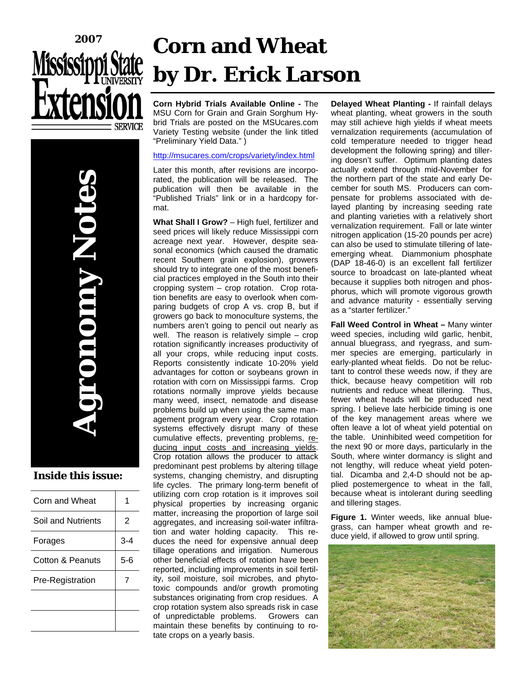



#### **Inside this issue:**

| Corn and Wheat     |         |
|--------------------|---------|
| Soil and Nutrients | 2       |
| Forages            | 3-4     |
| Cotton & Peanuts   | $5 - 6$ |
| Pre-Registration   | 7       |
|                    |         |
|                    |         |

# **Corn and Wheat by Dr. Erick Larson**

**Corn Hybrid Trials Available Online -** The MSU Corn for Grain and Grain Sorghum Hybrid Trials are posted on the MSUcares.com Variety Testing website (under the link titled "Preliminary Yield Data." )

#### http://msucares.com/crops/variety/index.html

Later this month, after revisions are incorporated, the publication will be released. The publication will then be available in the "Published Trials" link or in a hardcopy format.

**What Shall I Grow?** – High fuel, fertilizer and seed prices will likely reduce Mississippi corn acreage next year. However, despite seasonal economics (which caused the dramatic recent Southern grain explosion), growers should try to integrate one of the most beneficial practices employed in the South into their cropping system – crop rotation. Crop rotation benefits are easy to overlook when comparing budgets of crop A vs. crop B, but if growers go back to monoculture systems, the numbers aren't going to pencil out nearly as well. The reason is relatively simple – crop rotation significantly increases productivity of all your crops, while reducing input costs. Reports consistently indicate 10-20% yield advantages for cotton or soybeans grown in rotation with corn on Mississippi farms. Crop rotations normally improve yields because many weed, insect, nematode and disease problems build up when using the same management program every year. Crop rotation systems effectively disrupt many of these cumulative effects, preventing problems, reducing input costs and increasing yields. Crop rotation allows the producer to attack predominant pest problems by altering tillage systems, changing chemistry, and disrupting life cycles. The primary long-term benefit of utilizing corn crop rotation is it improves soil physical properties by increasing organic matter, increasing the proportion of large soil aggregates, and increasing soil-water infiltration and water holding capacity. This reduces the need for expensive annual deep tillage operations and irrigation. Numerous other beneficial effects of rotation have been reported, including improvements in soil fertility, soil moisture, soil microbes, and phytotoxic compounds and/or growth promoting substances originating from crop residues. A crop rotation system also spreads risk in case of unpredictable problems. Growers can maintain these benefits by continuing to rotate crops on a yearly basis.

**Delayed Wheat Planting -** If rainfall delays wheat planting, wheat growers in the south may still achieve high yields if wheat meets vernalization requirements (accumulation of cold temperature needed to trigger head development the following spring) and tillering doesn't suffer. Optimum planting dates actually extend through mid-November for the northern part of the state and early December for south MS. Producers can compensate for problems associated with delayed planting by increasing seeding rate and planting varieties with a relatively short vernalization requirement. Fall or late winter nitrogen application (15-20 pounds per acre) can also be used to stimulate tillering of lateemerging wheat. Diammonium phosphate (DAP 18-46-0) is an excellent fall fertilizer source to broadcast on late-planted wheat because it supplies both nitrogen and phosphorus, which will promote vigorous growth and advance maturity - essentially serving as a "starter fertilizer."

**Fall Weed Control in Wheat –** Many winter weed species, including wild garlic, henbit, annual bluegrass, and ryegrass, and summer species are emerging, particularly in early-planted wheat fields. Do not be reluctant to control these weeds now, if they are thick, because heavy competition will rob nutrients and reduce wheat tillering. Thus, fewer wheat heads will be produced next spring. I believe late herbicide timing is one of the key management areas where we often leave a lot of wheat yield potential on the table. Uninhibited weed competition for the next 90 or more days, particularly in the South, where winter dormancy is slight and not lengthy, will reduce wheat yield potential. Dicamba and 2,4-D should not be applied postemergence to wheat in the fall, because wheat is intolerant during seedling and tillering stages.

**Figure 1.** Winter weeds, like annual bluegrass, can hamper wheat growth and reduce yield, if allowed to grow until spring.

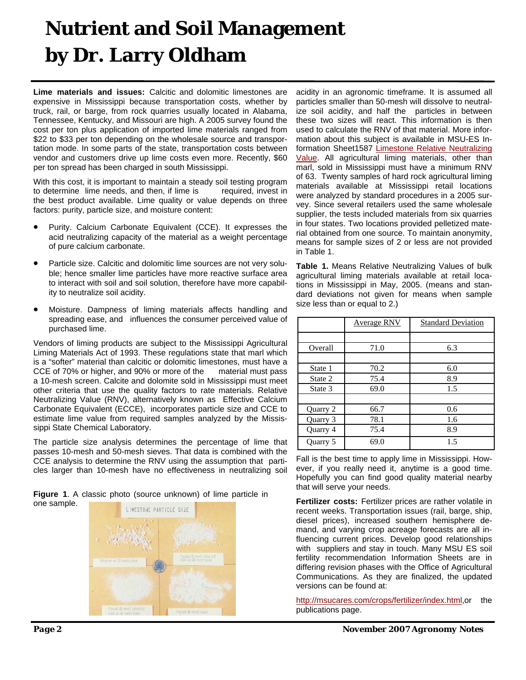### **Nutrient and Soil Management by Dr. Larry Oldham**

**Lime materials and issues:** Calcitic and dolomitic limestones are expensive in Mississippi because transportation costs, whether by truck, rail, or barge, from rock quarries usually located in Alabama, Tennessee, Kentucky, and Missouri are high. A 2005 survey found the cost per ton plus application of imported lime materials ranged from \$22 to \$33 per ton depending on the wholesale source and transportation mode. In some parts of the state, transportation costs between vendor and customers drive up lime costs even more. Recently, \$60 per ton spread has been charged in south Mississippi.

With this cost, it is important to maintain a steady soil testing program to determine lime needs, and then, if lime is required, invest in the best product available. Lime quality or value depends on three factors: purity, particle size, and moisture content:

- Purity. Calcium Carbonate Equivalent (CCE). It expresses the acid neutralizing capacity of the material as a weight percentage of pure calcium carbonate.
- Particle size. Calcitic and dolomitic lime sources are not very soluble; hence smaller lime particles have more reactive surface area to interact with soil and soil solution, therefore have more capability to neutralize soil acidity.
- Moisture. Dampness of liming materials affects handling and spreading ease, and influences the consumer perceived value of purchased lime.

Vendors of liming products are subject to the Mississippi Agricultural Liming Materials Act of 1993. These regulations state that marl which is a "softer" material than calcitic or dolomitic limestones, must have a CCE of 70% or higher, and 90% or more of the material must pass a 10-mesh screen. Calcite and dolomite sold in Mississippi must meet other criteria that use the quality factors to rate materials. Relative Neutralizing Value (RNV), alternatively known as Effective Calcium Carbonate Equivalent (ECCE), incorporates particle size and CCE to estimate lime value from required samples analyzed by the Mississippi State Chemical Laboratory.

The particle size analysis determines the percentage of lime that passes 10-mesh and 50-mesh sieves. That data is combined with the CCE analysis to determine the RNV using the assumption that particles larger than 10-mesh have no effectiveness in neutralizing soil

**Figure 1**. A classic photo (source unknown) of lime particle in one sample.



acidity in an agronomic timeframe. It is assumed all particles smaller than 50-mesh will dissolve to neutralize soil acidity, and half the particles in between these two sizes will react. This information is then used to calculate the RNV of that material. More information about this subject is available in MSU-ES Information Sheet1587 [Limestone Relative Neutralizing](http://msucares.com/pubs/infosheets/is1587.pdf)  [Value](http://msucares.com/pubs/infosheets/is1587.pdf). All agricultural liming materials, other than marl, sold in Mississippi must have a minimum RNV of 63. Twenty samples of hard rock agricultural liming materials available at Mississippi retail locations were analyzed by standard procedures in a 2005 survey. Since several retailers used the same wholesale supplier, the tests included materials from six quarries in four states. Two locations provided pelletized material obtained from one source. To maintain anonymity, means for sample sizes of 2 or less are not provided in Table 1.

**Table 1.** Means Relative Neutralizing Values of bulk agricultural liming materials available at retail locations in Mississippi in May, 2005. (means and standard deviations not given for means when sample size less than or equal to 2.)

|          | Average RNV | <b>Standard Deviation</b> |  |
|----------|-------------|---------------------------|--|
|          |             |                           |  |
| Overall  | 71.0        | 6.3                       |  |
|          |             |                           |  |
| State 1  | 70.2        | 6.0                       |  |
| State 2  | 75.4        | 8.9                       |  |
| State 3  | 69.0        | 1.5                       |  |
|          |             |                           |  |
| Quarry 2 | 66.7        | 0.6                       |  |
| Quarry 3 | 78.1        | 1.6                       |  |
| Quarry 4 | 75.4        | 8.9                       |  |
| Quarry 5 | 69.0        | 1.5                       |  |

Fall is the best time to apply lime in Mississippi. However, if you really need it, anytime is a good time. Hopefully you can find good quality material nearby that will serve your needs.

**Fertilizer costs:** Fertilizer prices are rather volatile in recent weeks. Transportation issues (rail, barge, ship, diesel prices), increased southern hemisphere demand, and varying crop acreage forecasts are all influencing current prices. Develop good relationships with suppliers and stay in touch. Many MSU ES soil fertility recommendation Information Sheets are in differing revision phases with the Office of Agricultural Communications. As they are finalized, the updated versions can be found at:

<http://msucares.com/crops/fertilizer/index.html>,or the publications page.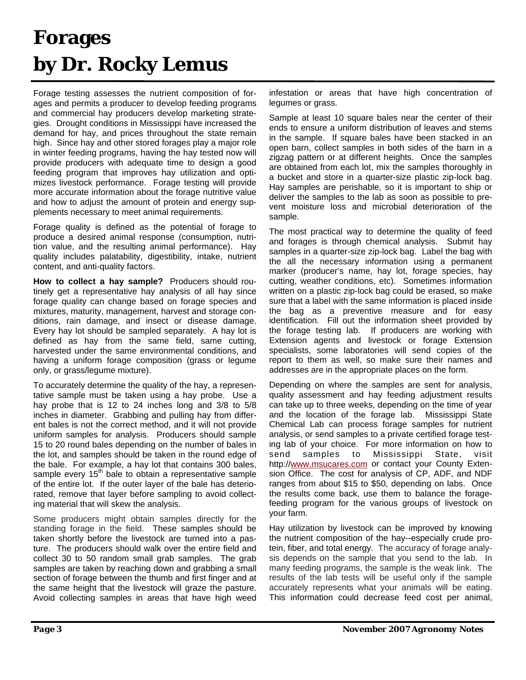### **Forages by Dr. Rocky Lemus**

Forage testing assesses the nutrient composition of forages and permits a producer to develop feeding programs and commercial hay producers develop marketing strategies. Drought conditions in Mississippi have increased the demand for hay, and prices throughout the state remain high. Since hay and other stored forages play a major role in winter feeding programs, having the hay tested now will provide producers with adequate time to design a good feeding program that improves hay utilization and optimizes livestock performance. Forage testing will provide more accurate information about the forage nutritive value and how to adjust the amount of protein and energy supplements necessary to meet animal requirements.

Forage quality is defined as the potential of forage to produce a desired animal response (consumption, nutrition value, and the resulting animal performance). Hay quality includes palatability, digestibility, intake, nutrient content, and anti-quality factors.

**How to collect a hay sample?** Producers should routinely get a representative hay analysis of all hay since forage quality can change based on forage species and mixtures, maturity, management, harvest and storage conditions, rain damage, and insect or disease damage. Every hay lot should be sampled separately. A hay lot is defined as hay from the same field, same cutting, harvested under the same environmental conditions, and having a uniform forage composition (grass or legume only, or grass/legume mixture).

To accurately determine the quality of the hay, a representative sample must be taken using a hay probe. Use a hay probe that is 12 to 24 inches long and 3/8 to 5/8 inches in diameter. Grabbing and pulling hay from different bales is not the correct method, and it will not provide uniform samples for analysis. Producers should sample 15 to 20 round bales depending on the number of bales in the lot, and samples should be taken in the round edge of the bale. For example, a hay lot that contains 300 bales, sample every  $15<sup>th</sup>$  bale to obtain a representative sample of the entire lot. If the outer layer of the bale has deteriorated, remove that layer before sampling to avoid collecting material that will skew the analysis.

Some producers might obtain samples directly for the standing forage in the field. These samples should be taken shortly before the livestock are turned into a pasture. The producers should walk over the entire field and collect 30 to 50 random small grab samples. The grab samples are taken by reaching down and grabbing a small section of forage between the thumb and first finger and at the same height that the livestock will graze the pasture. Avoid collecting samples in areas that have high weed

infestation or areas that have high concentration of legumes or grass.

Sample at least 10 square bales near the center of their ends to ensure a uniform distribution of leaves and stems in the sample. If square bales have been stacked in an open barn, collect samples in both sides of the barn in a zigzag pattern or at different heights. Once the samples are obtained from each lot, mix the samples thoroughly in a bucket and store in a quarter-size plastic zip-lock bag. Hay samples are perishable, so it is important to ship or deliver the samples to the lab as soon as possible to prevent moisture loss and microbial deterioration of the sample.

The most practical way to determine the quality of feed and forages is through chemical analysis. Submit hay samples in a quarter-size zip-lock bag. Label the bag with the all the necessary information using a permanent marker (producer's name, hay lot, forage species, hay cutting, weather conditions, etc). Sometimes information written on a plastic zip-lock bag could be erased, so make sure that a label with the same information is placed inside the bag as a preventive measure and for easy identification. Fill out the information sheet provided by the forage testing lab. If producers are working with Extension agents and livestock or forage Extension specialists, some laboratories will send copies of the report to them as well, so make sure their names and addresses are in the appropriate places on the form.

Depending on where the samples are sent for analysis, quality assessment and hay feeding adjustment results can take up to three weeks, depending on the time of year and the location of the forage lab. Mississippi State Chemical Lab can process forage samples for nutrient analysis, or send samples to a private certified forage testing lab of your choice. For more information on how to send samples to Mississippi State, visit http:/[/www.msucares.com](http://www.msucares.com) or contact your County Extension Office. The cost for analysis of CP, ADF, and NDF ranges from about \$15 to \$50, depending on labs. Once the results come back, use them to balance the foragefeeding program for the various groups of livestock on your farm.

Hay utilization by livestock can be improved by knowing the nutrient composition of the hay--especially crude protein, fiber, and total energy. The accuracy of forage analysis depends on the sample that you send to the lab. In many feeding programs, the sample is the weak link. The results of the lab tests will be useful only if the sample accurately represents what your animals will be eating. This information could decrease feed cost per animal,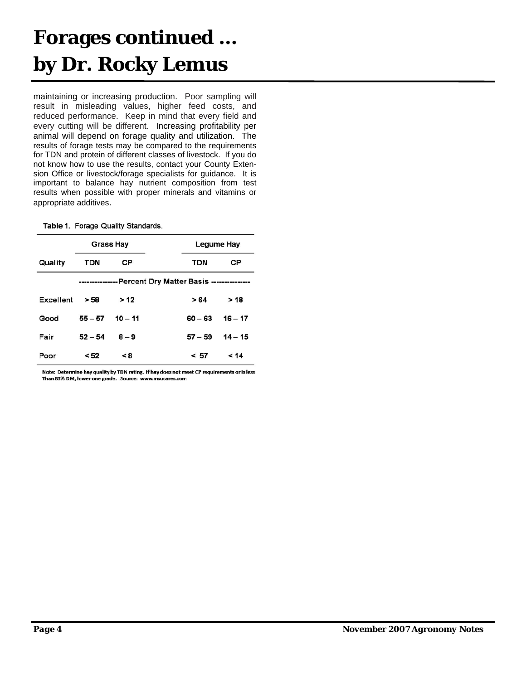### **Forages continued … by Dr. Rocky Lemus**

maintaining or increasing production. Poor sampling will result in misleading values, higher feed costs, and reduced performance. Keep in mind that every field and every cutting will be different. Increasing profitability per animal will depend on forage quality and utilization. The results of forage tests may be compared to the requirements for TDN and protein of different classes of livestock. If you do not know how to use the results, contact your County Extension Office or livestock/forage specialists for guidance. It is important to balance hay nutrient composition from test results when possible with proper minerals and vitamins or appropriate additives.

Table 1. Forage Quality Standards.

|           | Grass Hay                                                |           |  |            | Legume Hay |
|-----------|----------------------------------------------------------|-----------|--|------------|------------|
| Quality   | TDN                                                      | СP        |  | <b>TDN</b> | СP         |
|           | --------------- Percent Dry Matter Basis --------------- |           |  |            |            |
| Excellent | > 58                                                     | >12       |  | > 64       | > 18       |
| Good      | $55 - 57$                                                | $10 - 11$ |  | $60 - 63$  | $16 - 17$  |
| Fair      | $52 - 54$                                                | $8-9$     |  | $57 - 59$  | $14 - 15$  |
| Poor      | < 52                                                     | <8        |  | < 57       | 14         |

Note: Determine hay quality by TDN rating. If hay does not meet CP requirements or is less Than 83% DM, lower one grade. Source: www.msucares.com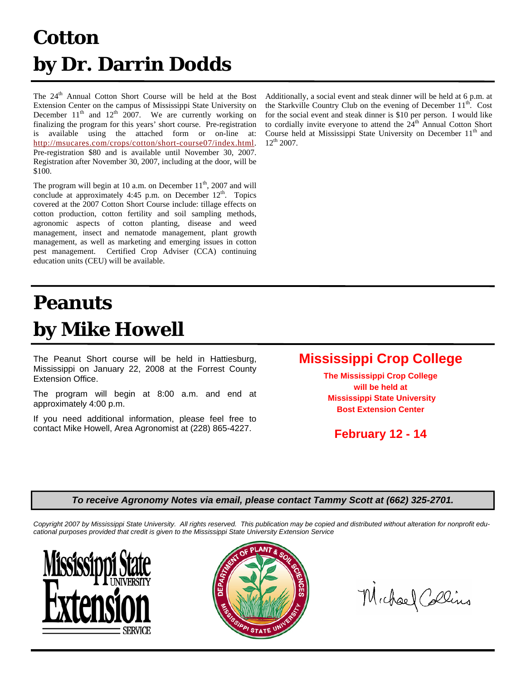### **Cotton by Dr. Darrin Dodds**

The 24<sup>th</sup> Annual Cotton Short Course will be held at the Bost Extension Center on the campus of Mississippi State University on December  $11<sup>th</sup>$  and  $12<sup>th</sup>$  2007. We are currently working on finalizing the program for this years' short course. Pre-registration is available using the attached form or on-line at: [http://msucares.com/crops/cotton/short-course07/index.htm](http://msucares.com/crops/cotton/short-course07/index.html)l. Pre-registration \$80 and is available until November 30, 2007. Registration after November 30, 2007, including at the door, will be \$100.

The program will begin at 10 a.m. on December  $11<sup>th</sup>$ , 2007 and will conclude at approximately  $4:45$  p.m. on December  $12<sup>th</sup>$ . Topics covered at the 2007 Cotton Short Course include: tillage effects on cotton production, cotton fertility and soil sampling methods, agronomic aspects of cotton planting, disease and weed management, insect and nematode management, plant growth management, as well as marketing and emerging issues in cotton pest management. Certified Crop Adviser (CCA) continuing education units (CEU) will be available.

### **Peanuts by Mike Howell**

The Peanut Short course will be held in Hattiesburg, Mississippi on January 22, 2008 at the Forrest County Extension Office.

The program will begin at 8:00 a.m. and end at approximately 4:00 p.m.

If you need additional information, please feel free to contact Mike Howell, Area Agronomist at (228) 865-4227.

Additionally, a social event and steak dinner will be held at 6 p.m. at the Starkville Country Club on the evening of December  $11<sup>th</sup>$ . Cost for the social event and steak dinner is \$10 per person. I would like to cordially invite everyone to attend the  $24<sup>th</sup>$  Annual Cotton Short Course held at Mississippi State University on December  $11<sup>th</sup>$  and  $12^{th}$  2007.

#### **Mississippi Crop College**

**The Mississippi Crop College will be held at Mississippi State University Bost Extension Center** 

**February 12 - 14** 

#### *To receive Agronomy Notes via email, please contact Tammy Scott at (662) 325-2701.*

*Copyright 2007 by Mississippi State University. All rights reserved. This publication may be copied and distributed without alteration for nonprofit educational purposes provided that credit is given to the Mississippi State University Extension Service*





Michael Collins